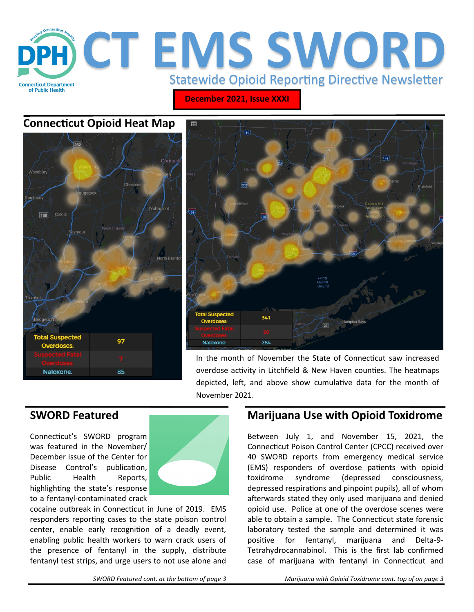

**December 2021, Issue XXXI**

# **Connecticut Opioid Heat Map**





In the month of November the State of Connecticut saw increased overdose activity in Litchfield & New Haven counties. The heatmaps depicted, left, and above show cumulative data for the month of November 2021.

Connecticut's SWORD program was featured in the November/ December issue of the Center for Disease Control's publication, Public Health Reports, highlighting the state's response to a fentanyl-contaminated crack

![](_page_0_Picture_8.jpeg)

cocaine outbreak in Connecticut in June of 2019. EMS responders reporting cases to the state poison control center, enable early recognition of a deadly event, enabling public health workers to warn crack users of the presence of fentanyl in the supply, distribute fentanyl test strips, and urge users to not use alone and

# **SWORD Featured Marijuana Use with Opioid Toxidrome**

Between July 1, and November 15, 2021, the Connecticut Poison Control Center (CPCC) received over 40 SWORD reports from emergency medical service (EMS) responders of overdose patients with opioid toxidrome syndrome (depressed consciousness, depressed respirations and pinpoint pupils), all of whom afterwards stated they only used marijuana and denied opioid use. Police at one of the overdose scenes were able to obtain a sample. The Connecticut state forensic laboratory tested the sample and determined it was positive for fentanyl, marijuana and Delta-9- Tetrahydrocannabinol. This is the first lab confirmed case of marijuana with fentanyl in Connecticut and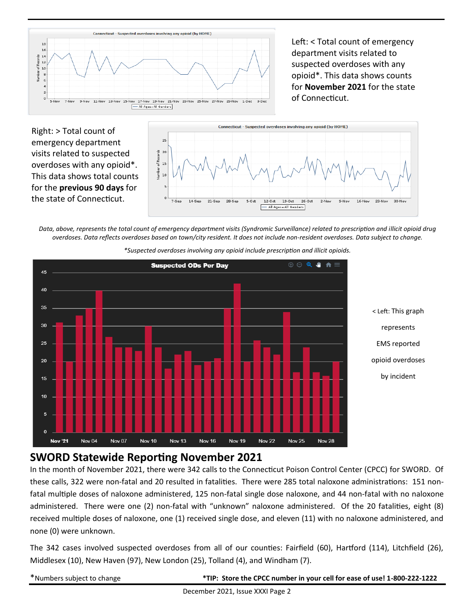![](_page_1_Figure_0.jpeg)

Left: < Total count of emergency department visits related to suspected overdoses with any opioid\*. This data shows counts for **November 2021** for the state of Connecticut.

Right: > Total count of emergency department visits related to suspected overdoses with any opioid\*. This data shows total counts for the **previous 90 days** for the state of Connecticut.

![](_page_1_Figure_3.jpeg)

*Data, above, represents the total count of emergency department visits (Syndromic Surveillance) related to prescription and illicit opioid drug overdoses. Data reflects overdoses based on town/city resident. It does not include non-resident overdoses. Data subject to change.* 

![](_page_1_Figure_5.jpeg)

*\*Suspected overdoses involving any opioid include prescription and illicit opioids.*

## **SWORD Statewide Reporting November 2021**

In the month of November 2021, there were 342 calls to the Connecticut Poison Control Center (CPCC) for SWORD. Of these calls, 322 were non-fatal and 20 resulted in fatalities. There were 285 total naloxone administrations: 151 nonfatal multiple doses of naloxone administered, 125 non-fatal single dose naloxone, and 44 non-fatal with no naloxone administered. There were one (2) non-fatal with "unknown" naloxone administered. Of the 20 fatalities, eight (8) received multiple doses of naloxone, one (1) received single dose, and eleven (11) with no naloxone administered, and none (0) were unknown.

The 342 cases involved suspected overdoses from all of our counties: Fairfield (60), Hartford (114), Litchfield (26), Middlesex (10), New Haven (97), New London (25), Tolland (4), and Windham (7).

\*Numbers subject to change **\*TIP: Store the CPCC number in your cell for ease of use! 1-800-222-1222**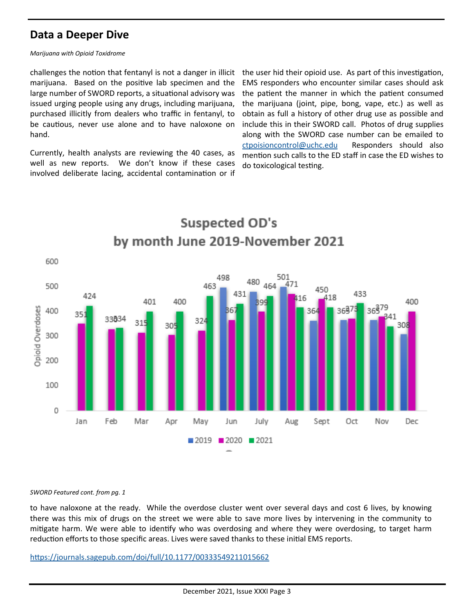# **Data a Deeper Dive**

#### *Marijuana with Opioid Toxidrome*

challenges the notion that fentanyl is not a danger in illicit marijuana. Based on the positive lab specimen and the large number of SWORD reports, a situational advisory was issued urging people using any drugs, including marijuana, purchased illicitly from dealers who traffic in fentanyl, to be cautious, never use alone and to have naloxone on hand.

Currently, health analysts are reviewing the 40 cases, as well as new reports. We don't know if these cases involved deliberate lacing, accidental contamination or if

the user hid their opioid use. As part of this investigation, EMS responders who encounter similar cases should ask the patient the manner in which the patient consumed the marijuana (joint, pipe, bong, vape, etc.) as well as obtain as full a history of other drug use as possible and include this in their SWORD call. Photos of drug supplies along with the SWORD case number can be emailed to [ctpoisioncontrol@uchc.edu](mailto:ctpoisioncontrol@uchc.edu) Responders should also mention such calls to the ED staff in case the ED wishes to do toxicological testing.

![](_page_2_Figure_5.jpeg)

## [https://journals.sagepub.com/doi/full/10.1177/00333549211015662](https://gcc02.safelinks.protection.outlook.com/?url=https%3A%2F%2Fjournals.sagepub.com%2Fdoi%2Ffull%2F10.1177%2F00333549211015662&data=04%7C01%7CKatharine.Hickcox%40ct.gov%7Ce8cdacee653242bdb24508d9b5cb6fd0%7C118b7cfaa3dd48b9b02631ff69bb738b%7C0%7C0%7C6377407)

#### *SWORD Featured cont. from pg. 1*

there was this mix of drugs on the street we were able to save more lives by intervening in the community to mitigate harm. We were able to identify who was overdosing and where they were overdosing, to target harm reduction efforts to those specific areas. Lives were saved thanks to these initial EMS reports.

to have naloxone at the ready. While the overdose cluster went over several days and cost 6 lives, by knowing